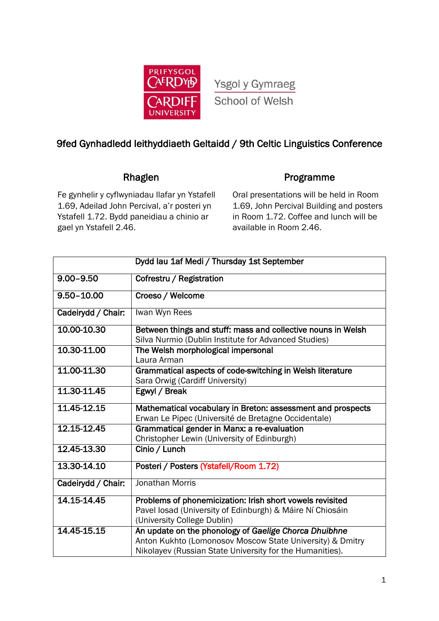

Ysgol y Gymraeg School of Welsh

# 9fed Gynhadledd Ieithyddiaeth Geltaidd / 9th Celtic Linguistics Conference

# Rhaglen **Programme**

Fe gynhelir y cyflwyniadau llafar yn Ystafell 1.69, Adeilad John Percival, a'r posteri yn Ystafell 1.72. Bydd paneidiau a chinio ar gael yn Ystafell 2.46.

Oral presentations will be held in Room 1.69, John Percival Building and posters in Room 1.72. Coffee and lunch will be available in Room 2.46.

|                            | Dydd Iau 1af Medi / Thursday 1st September                                                                                                                                     |
|----------------------------|--------------------------------------------------------------------------------------------------------------------------------------------------------------------------------|
| $9.00 - 9.50$              | Cofrestru / Registration                                                                                                                                                       |
| $9.50 - 10.00$             | Croeso / Welcome                                                                                                                                                               |
| Cadeirydd / Chair:         | Iwan Wyn Rees                                                                                                                                                                  |
| 10.00-10.30                | Between things and stuff: mass and collective nouns in Welsh<br>Silva Nurmio (Dublin Institute for Advanced Studies)                                                           |
| 10.30-11.00                | The Welsh morphological impersonal<br>Laura Arman                                                                                                                              |
| 11.00-11.30                | Grammatical aspects of code-switching in Welsh literature<br>Sara Orwig (Cardiff University)                                                                                   |
| 11.30-11.45                | Egwyl / Break                                                                                                                                                                  |
| 11.45-12.15                | Mathematical vocabulary in Breton: assessment and prospects<br>Erwan Le Pipec (Université de Bretagne Occidentale)                                                             |
| 12.15-12.45                | Grammatical gender in Manx: a re-evaluation<br>Christopher Lewin (University of Edinburgh)                                                                                     |
| $\overline{12,45-13}$ , 30 | Cinio / Lunch                                                                                                                                                                  |
| 13.30-14.10                | Posteri / Posters (Ystafell/Room 1.72)                                                                                                                                         |
| Cadeirydd / Chair:         | Jonathan Morris                                                                                                                                                                |
| 14.15-14.45                | Problems of phonemicization: Irish short vowels revisited<br>Pavel losad (University of Edinburgh) & Máire Ní Chiosáin<br>(University College Dublin)                          |
| 14.45-15.15                | An update on the phonology of Gaelige Chorca Dhuibhne<br>Anton Kukhto (Lomonosov Moscow State University) & Dmitry<br>Nikolayev (Russian State University for the Humanities). |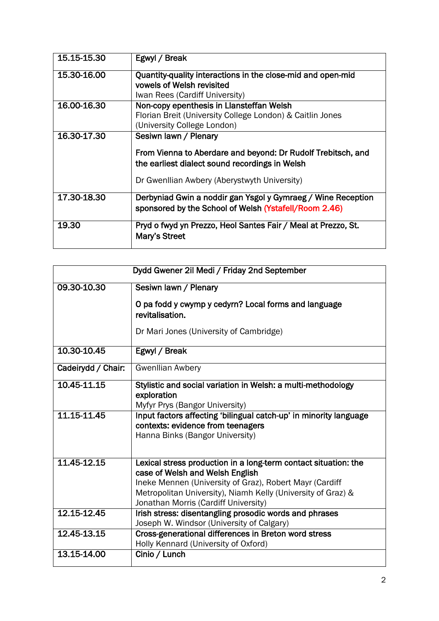| 15.15-15.30 | Egwyl / Break                                                                                                                                                                           |
|-------------|-----------------------------------------------------------------------------------------------------------------------------------------------------------------------------------------|
| 15.30-16.00 | Quantity-quality interactions in the close-mid and open-mid<br>vowels of Welsh revisited<br>Iwan Rees (Cardiff University)                                                              |
| 16.00-16.30 | Non-copy epenthesis in Llansteffan Welsh<br>Florian Breit (University College London) & Caitlin Jones<br>(University College London)                                                    |
| 16.30-17.30 | Sesiwn lawn / Plenary<br>From Vienna to Aberdare and beyond: Dr Rudolf Trebitsch, and<br>the earliest dialect sound recordings in Welsh<br>Dr Gwenllian Awbery (Aberystwyth University) |
| 17.30-18.30 | Derbyniad Gwin a noddir gan Ysgol y Gymraeg / Wine Reception<br>sponsored by the School of Welsh (Ystafell/Room 2.46)                                                                   |
| 19.30       | Pryd o fwyd yn Prezzo, Heol Santes Fair / Meal at Prezzo, St.<br>Mary's Street                                                                                                          |

| Dydd Gwener 2il Medi / Friday 2nd September |                                                                                                                                                               |  |
|---------------------------------------------|---------------------------------------------------------------------------------------------------------------------------------------------------------------|--|
| 09.30-10.30                                 | Sesiwn lawn / Plenary                                                                                                                                         |  |
|                                             | O pa fodd y cwymp y cedyrn? Local forms and language<br>revitalisation.                                                                                       |  |
|                                             | Dr Mari Jones (University of Cambridge)                                                                                                                       |  |
| 10.30-10.45                                 | Egwyl / Break                                                                                                                                                 |  |
| Cadeirydd / Chair:                          | <b>Gwenllian Awbery</b>                                                                                                                                       |  |
| 10.45-11.15                                 | Stylistic and social variation in Welsh: a multi-methodology<br>exploration<br>Myfyr Prys (Bangor University)                                                 |  |
| 11.15-11.45                                 | Input factors affecting 'bilingual catch-up' in minority language<br>contexts: evidence from teenagers<br>Hanna Binks (Bangor University)                     |  |
| 11.45-12.15                                 | Lexical stress production in a long-term contact situation: the<br>case of Welsh and Welsh English<br>Ineke Mennen (University of Graz), Robert Mayr (Cardiff |  |
|                                             | Metropolitan University), Niamh Kelly (University of Graz) &<br>Jonathan Morris (Cardiff University)                                                          |  |
| 12.15-12.45                                 | Irish stress: disentangling prosodic words and phrases<br>Joseph W. Windsor (University of Calgary)                                                           |  |
| 12.45-13.15                                 | Cross-generational differences in Breton word stress<br>Holly Kennard (University of Oxford)                                                                  |  |
| 13.15-14.00                                 | Cinio / Lunch                                                                                                                                                 |  |